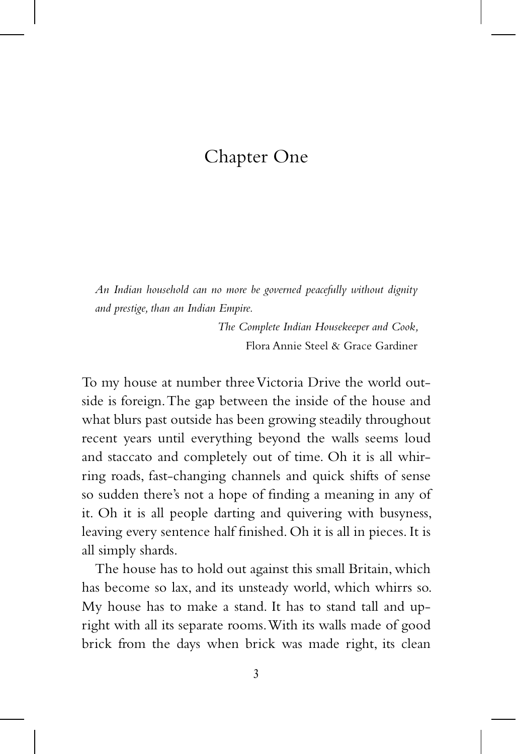## Chapter One

*An Indian household can no more be governed peacefully without dignity and prestige, than an Indian Empire.*

> *The Complete Indian Housekeeper and Cook,* Flora Annie Steel & Grace Gardiner

To my house at number three Victoria Drive the world outside is foreign. The gap between the inside of the house and what blurs past outside has been growing steadily throughout recent years until everything beyond the walls seems loud and staccato and completely out of time. Oh it is all whirring roads, fast-changing channels and quick shifts of sense so sudden there's not a hope of finding a meaning in any of it. Oh it is all people darting and quivering with busyness, leaving every sentence half finished. Oh it is all in pieces. It is all simply shards.

The house has to hold out against this small Britain, which has become so lax, and its unsteady world, which whirrs so. My house has to make a stand. It has to stand tall and upright with all its separate rooms. With its walls made of good brick from the days when brick was made right, its clean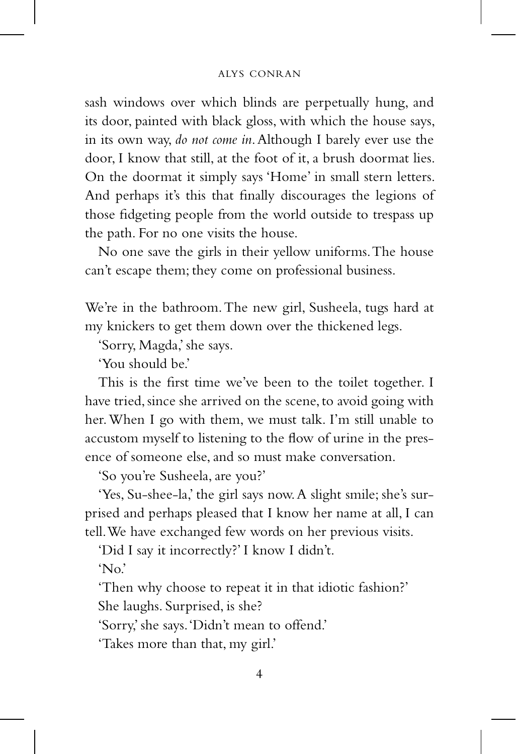sash windows over which blinds are perpetually hung, and its door, painted with black gloss, with which the house says, in its own way, *do not come in*. Although I barely ever use the door, I know that still, at the foot of it, a brush doormat lies. On the doormat it simply says 'Home' in small stern letters. And perhaps it's this that finally discourages the legions of those fidgeting people from the world outside to trespass up the path. For no one visits the house.

No one save the girls in their yellow uniforms. The house can't escape them; they come on professional business.

We're in the bathroom. The new girl, Susheela, tugs hard at my knickers to get them down over the thickened legs.

'Sorry, Magda,' she says.

'You should be.'

This is the first time we've been to the toilet together. I have tried, since she arrived on the scene, to avoid going with her. When I go with them, we must talk. I'm still unable to accustom myself to listening to the flow of urine in the presence of someone else, and so must make conversation.

'So you're Susheela, are you?'

'Yes, Su-shee-la,' the girl says now. A slight smile; she's surprised and perhaps pleased that I know her name at all, I can tell. We have exchanged few words on her previous visits.

'Did I say it incorrectly?' I know I didn't.

 $'N_0'$ 

'Then why choose to repeat it in that idiotic fashion?' She laughs. Surprised, is she?

'Sorry,' she says. 'Didn't mean to offend.'

'Takes more than that, my girl.'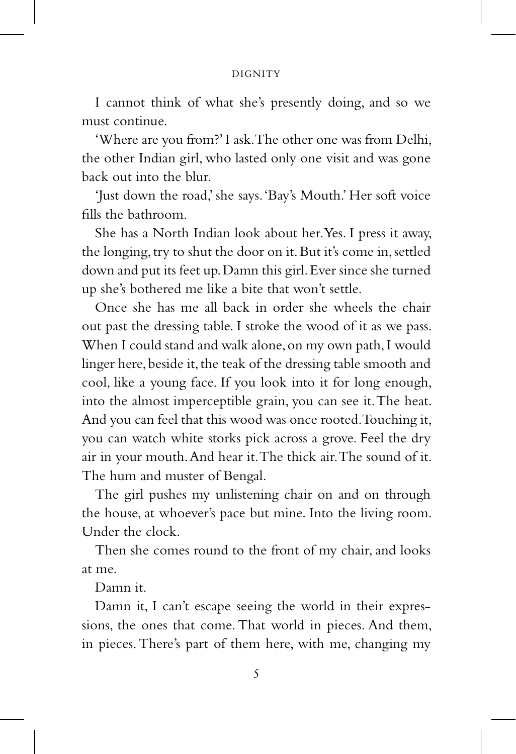## DIGNITY

I cannot think of what she's presently doing, and so we must continue.

'Where are you from?' I ask. The other one was from Delhi, the other Indian girl, who lasted only one visit and was gone back out into the blur.

'Just down the road,' she says. 'Bay's Mouth.' Her soft voice fills the bathroom.

She has a North Indian look about her. Yes. I press it away, the longing, try to shut the door on it. But it's come in, settled down and put its feet up. Damn this girl. Ever since she turned up she's bothered me like a bite that won't settle.

Once she has me all back in order she wheels the chair out past the dressing table. I stroke the wood of it as we pass. When I could stand and walk alone, on my own path, I would linger here, beside it, the teak of the dressing table smooth and cool, like a young face. If you look into it for long enough, into the almost imperceptible grain, you can see it. The heat. And you can feel that this wood was once rooted. Touching it, you can watch white storks pick across a grove. Feel the dry air in your mouth. And hear it. The thick air. The sound of it. The hum and muster of Bengal.

The girl pushes my unlistening chair on and on through the house, at whoever's pace but mine. Into the living room. Under the clock.

Then she comes round to the front of my chair, and looks at me.

Damn it.

Damn it, I can't escape seeing the world in their expressions, the ones that come. That world in pieces. And them, in pieces. There's part of them here, with me, changing my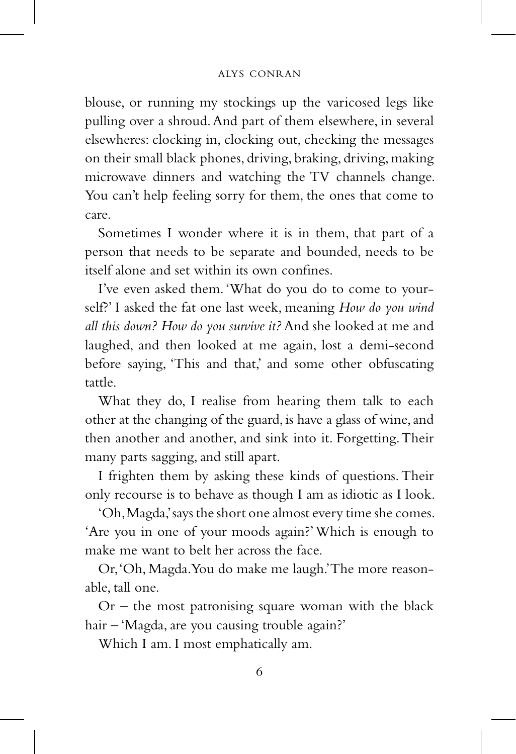blouse, or running my stockings up the varicosed legs like pulling over a shroud. And part of them elsewhere, in several elsewheres: clocking in, clocking out, checking the messages on their small black phones, driving, braking, driving, making microwave dinners and watching the TV channels change. You can't help feeling sorry for them, the ones that come to care.

Sometimes I wonder where it is in them, that part of a person that needs to be separate and bounded, needs to be itself alone and set within its own confines.

I've even asked them. 'What do you do to come to yourself?' I asked the fat one last week, meaning *How do you wind all this down? How do you survive it?* And she looked at me and laughed, and then looked at me again, lost a demi-second before saying, 'This and that,' and some other obfuscating tattle.

What they do, I realise from hearing them talk to each other at the changing of the guard, is have a glass of wine, and then another and another, and sink into it. Forgetting. Their many parts sagging, and still apart.

I frighten them by asking these kinds of questions. Their only recourse is to behave as though I am as idiotic as I look.

'Oh, Magda,' says the short one almost every time she comes. 'Are you in one of your moods again?' Which is enough to make me want to belt her across the face.

Or, 'Oh, Magda. You do make me laugh.' The more reasonable, tall one.

 $Or$  – the most patronising square woman with the black hair – 'Magda, are you causing trouble again?'

Which I am. I most emphatically am.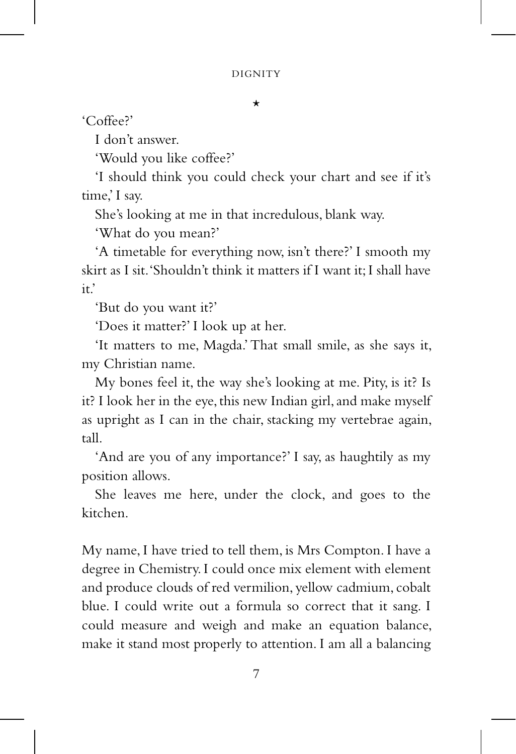## \*

'Coffee?'

I don't answer.

'Would you like coffee?'

'I should think you could check your chart and see if it's time,' I say.

She's looking at me in that incredulous, blank way.

'What do you mean?'

'A timetable for everything now, isn't there?' I smooth my skirt as I sit. 'Shouldn't think it matters if I want it; I shall have  $it$ ,

'But do you want it?'

'Does it matter?' I look up at her.

'It matters to me, Magda.' That small smile, as she says it, my Christian name.

My bones feel it, the way she's looking at me. Pity, is it? Is it? I look her in the eye, this new Indian girl, and make myself as upright as I can in the chair, stacking my vertebrae again, tall.

'And are you of any importance?' I say, as haughtily as my position allows.

She leaves me here, under the clock, and goes to the kitchen.

My name, I have tried to tell them, is Mrs Compton. I have a degree in Chemistry. I could once mix element with element and produce clouds of red vermilion, yellow cadmium, cobalt blue. I could write out a formula so correct that it sang. I could measure and weigh and make an equation balance, make it stand most properly to attention. I am all a balancing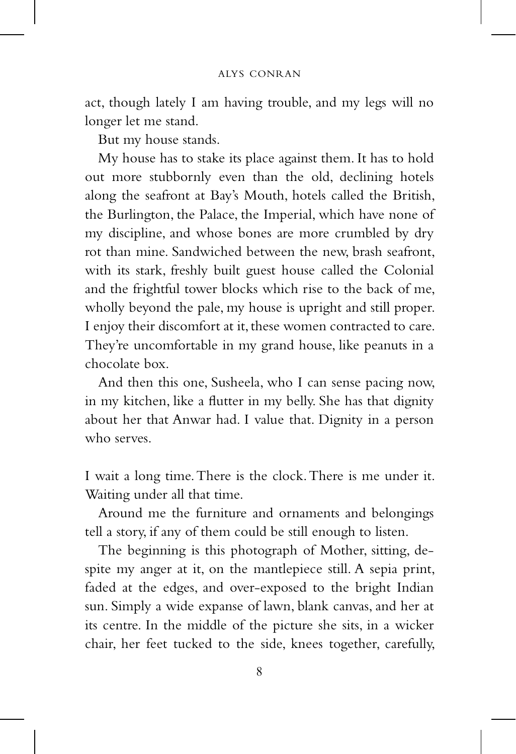act, though lately I am having trouble, and my legs will no longer let me stand.

But my house stands.

My house has to stake its place against them. It has to hold out more stubbornly even than the old, declining hotels along the seafront at Bay's Mouth, hotels called the British, the Burlington, the Palace, the Imperial, which have none of my discipline, and whose bones are more crumbled by dry rot than mine. Sandwiched between the new, brash seafront, with its stark, freshly built guest house called the Colonial and the frightful tower blocks which rise to the back of me, wholly beyond the pale, my house is upright and still proper. I enjoy their discomfort at it, these women contracted to care. They're uncomfortable in my grand house, like peanuts in a chocolate box.

And then this one, Susheela, who I can sense pacing now, in my kitchen, like a flutter in my belly. She has that dignity about her that Anwar had. I value that. Dignity in a person who serves.

I wait a long time. There is the clock. There is me under it. Waiting under all that time.

Around me the furniture and ornaments and belongings tell a story, if any of them could be still enough to listen.

The beginning is this photograph of Mother, sitting, despite my anger at it, on the mantlepiece still. A sepia print, faded at the edges, and over-exposed to the bright Indian sun. Simply a wide expanse of lawn, blank canvas, and her at its centre. In the middle of the picture she sits, in a wicker chair, her feet tucked to the side, knees together, carefully,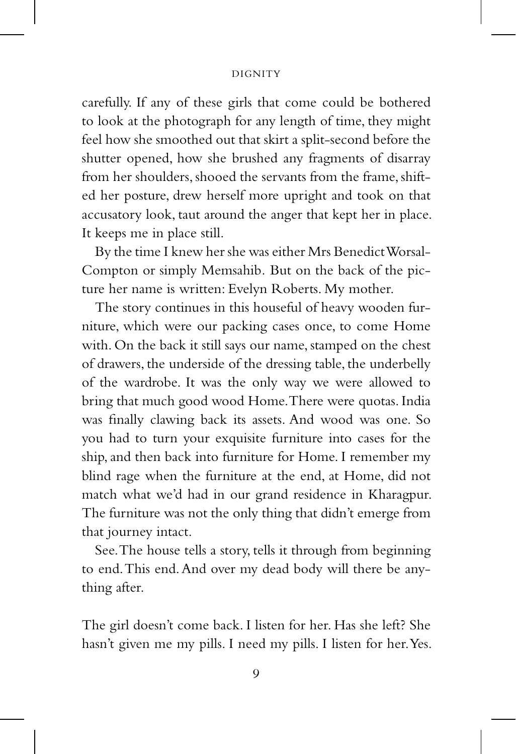## DIGNITY

carefully. If any of these girls that come could be bothered to look at the photograph for any length of time, they might feel how she smoothed out that skirt a split-second before the shutter opened, how she brushed any fragments of disarray from her shoulders, shooed the servants from the frame, shifted her posture, drew herself more upright and took on that accusatory look, taut around the anger that kept her in place. It keeps me in place still.

By the time I knew her she was either Mrs Benedict Worsal-Compton or simply Memsahib*.* But on the back of the picture her name is written: Evelyn Roberts. My mother.

The story continues in this houseful of heavy wooden furniture, which were our packing cases once, to come Home with. On the back it still says our name, stamped on the chest of drawers, the underside of the dressing table, the underbelly of the wardrobe. It was the only way we were allowed to bring that much good wood Home. There were quotas. India was finally clawing back its assets. And wood was one. So you had to turn your exquisite furniture into cases for the ship, and then back into furniture for Home. I remember my blind rage when the furniture at the end, at Home, did not match what we'd had in our grand residence in Kharagpur. The furniture was not the only thing that didn't emerge from that journey intact.

See. The house tells a story, tells it through from beginning to end. This end. And over my dead body will there be anything after.

The girl doesn't come back. I listen for her. Has she left? She hasn't given me my pills. I need my pills. I listen for her. Yes.